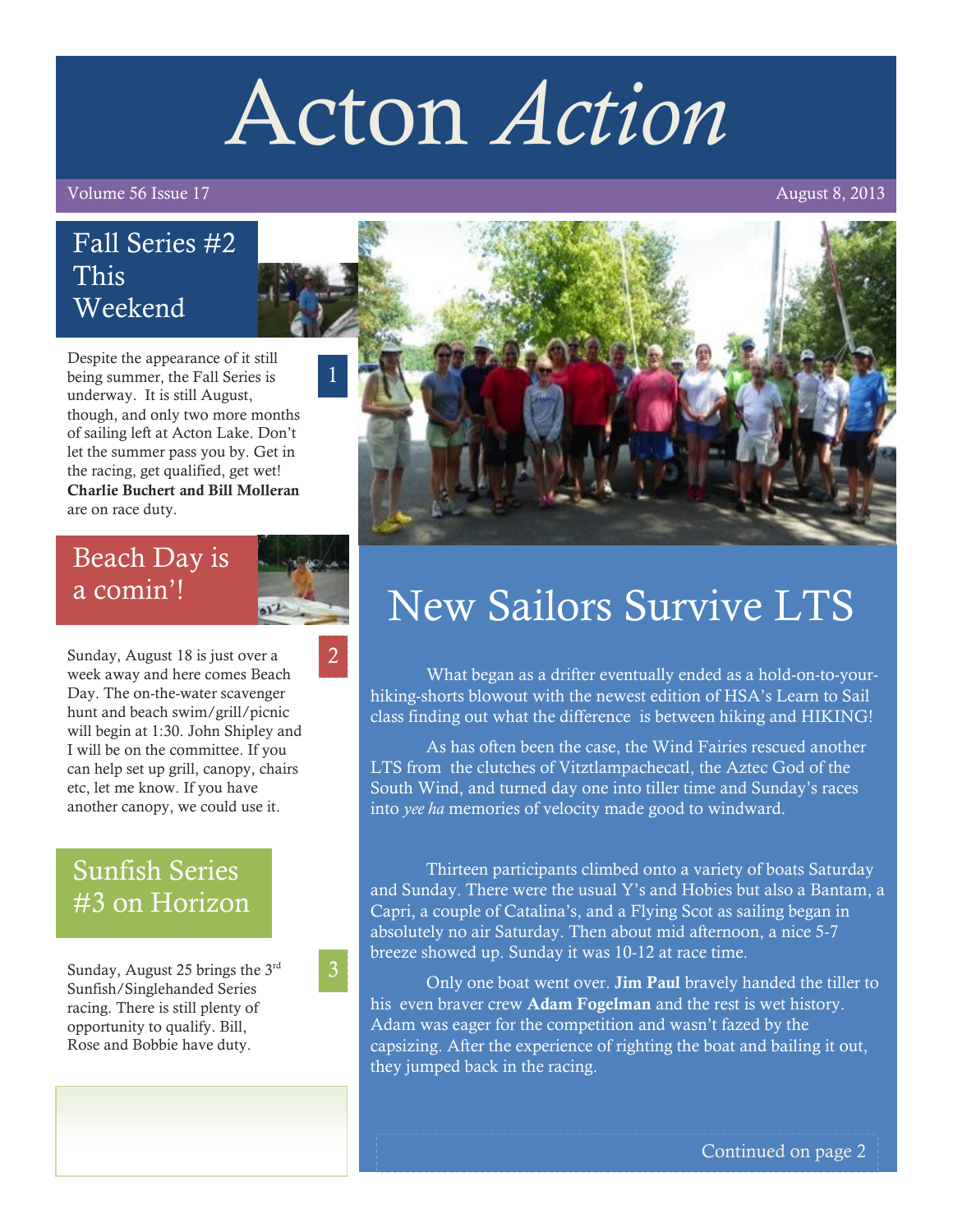# Acton *Action*

Volume 56 Issue 17 August 8, 2013

### Fall Series #2 This Weekend

Despite the appearance of it still being summer, the Fall Series is underway. It is still August, though, and only two more months of sailing left at Acton Lake. Don't let the summer pass you by. Get in the racing, get qualified, get wet! **Charlie Buchert and Bill Molleran** are on race duty.

### Beach Day is a comin'!

2

1

Sunday, August 18 is just over a week away and here comes Beach Day. The on-the-water scavenger hunt and beach swim/grill/picnic will begin at 1:30. John Shipley and I will be on the committee. If you can help set up grill, canopy, chairs etc, let me know. If you have another canopy, we could use it.

# Sunfish Series #3 on Horizon

Sunday, August 25 brings the 3rd Sunfish/Singlehanded Series racing. There is still plenty of opportunity to qualify. Bill, Rose and Bobbie have duty.



# New Sailors Survive LTS

What began as a drifter eventually ended as a hold-on-to-yourhiking-shorts blowout with the newest edition of HSA's Learn to Sail class finding out what the difference is between hiking and HIKING!

As has often been the case, the Wind Fairies rescued another LTS from the clutches of Vitztlampachecatl, the Aztec God of the South Wind, and turned day one into tiller time and Sunday's races into *yee ha* memories of velocity made good to windward.

Thirteen participants climbed onto a variety of boats Saturday and Sunday. There were the usual Y's and Hobies but also a Bantam, a Capri, a couple of Catalina's, and a Flying Scot as sailing began in absolutely no air Saturday. Then about mid afternoon, a nice 5-7 breeze showed up. Sunday it was 10-12 at race time.

Only one boat went over. **Jim Paul** bravely handed the tiller to his even braver crew **Adam Fogelman** and the rest is wet history. Adam was eager for the competition and wasn't fazed by the capsizing. After the experience of righting the boat and bailing it out, they jumped back in the racing.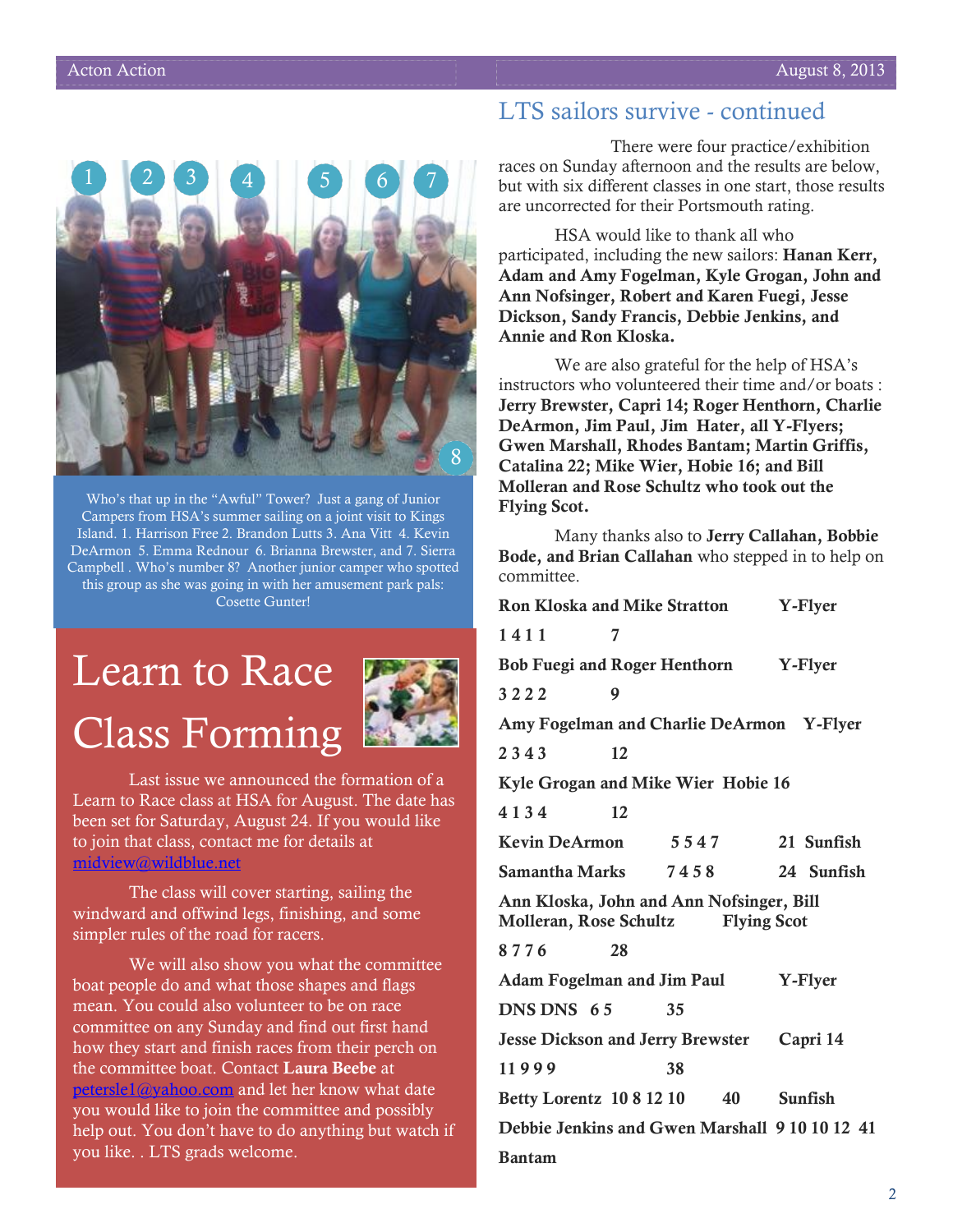

Who's that up in the "Awful" Tower? Just a gang of Junior Campers from HSA's summer sailing on a joint visit to Kings Island. 1. Harrison Free 2. Brandon Lutts 3. Ana Vitt 4. Kevin DeArmon 5. Emma Rednour 6. Brianna Brewster, and 7. Sierra Campbell . Who's number 8? Another junior camper who spotted this group as she was going in with her amusement park pals: Cosette Gunter!

# Learn to Race Class Forming



Last issue we announced the formation of a Learn to Race class at HSA for August. The date has been set for Saturday, August 24. If you would like to join that class, contact me for details at [midview@wildblue.net](mailto:midview@wildblue.net)

The class will cover starting, sailing the windward and offwind legs, finishing, and some simpler rules of the road for racers.

We will also show you what the committee boat people do and what those shapes and flags mean. You could also volunteer to be on race committee on any Sunday and find out first hand how they start and finish races from their perch on the committee boat. Contact **Laura Beebe** at [petersle1@yahoo.com](mailto:petersle1@yahoo.com) and let her know what date you would like to join the committee and possibly help out. You don't have to do anything but watch if you like. . LTS grads welcome.

#### LTS sailors survive - continued

There were four practice/exhibition races on Sunday afternoon and the results are below, but with six different classes in one start, those results are uncorrected for their Portsmouth rating.

HSA would like to thank all who participated, including the new sailors: **Hanan Kerr, Adam and Amy Fogelman, Kyle Grogan, John and Ann Nofsinger, Robert and Karen Fuegi, Jesse Dickson, Sandy Francis, Debbie Jenkins, and Annie and Ron Kloska.**

We are also grateful for the help of HSA's instructors who volunteered their time and/or boats : **Jerry Brewster, Capri 14; Roger Henthorn, Charlie DeArmon, Jim Paul, Jim Hater, all Y-Flyers; Gwen Marshall, Rhodes Bantam; Martin Griffis, Catalina 22; Mike Wier, Hobie 16; and Bill Molleran and Rose Schultz who took out the Flying Scot.**

Many thanks also to **Jerry Callahan, Bobbie Bode, and Brian Callahan** who stepped in to help on committee.

| <b>Ron Kloska and Mike Stratton</b>                                                      |    |      |            | Y-Flyer |            |
|------------------------------------------------------------------------------------------|----|------|------------|---------|------------|
| 1411                                                                                     | 7  |      |            |         |            |
| Bob Fuegi and Roger Henthorn Y-Flyer                                                     |    |      |            |         |            |
| 3222                                                                                     | 9  |      |            |         |            |
| Amy Fogelman and Charlie DeArmon Y-Flyer                                                 |    |      |            |         |            |
| 2343                                                                                     | 12 |      |            |         |            |
| Kyle Grogan and Mike Wier Hobie 16                                                       |    |      |            |         |            |
| 4134                                                                                     | 12 |      |            |         |            |
| Kevin DeArmon                                                                            |    | 5547 |            |         | 21 Sunfish |
| Samantha Marks 7458                                                                      |    |      |            |         | 24 Sunfish |
| Ann Kloska, John and Ann Nofsinger, Bill<br>Molleran, Rose Schultz<br><b>Flying Scot</b> |    |      |            |         |            |
| 8776                                                                                     | 28 |      |            |         |            |
| Adam Fogelman and Jim Paul                                                               |    |      | Y-Flyer    |         |            |
| DNS DNS 65                                                                               |    | 35   |            |         |            |
| Jesse Dickson and Jerry Brewster Capri 14                                                |    |      |            |         |            |
| 11999                                                                                    |    | 38   |            |         |            |
| Betty Lorentz 10 8 12 10                                                                 |    |      | 40 Sunfish |         |            |
| Debbie Jenkins and Gwen Marshall 9 10 10 12 41                                           |    |      |            |         |            |
| <b>Bantam</b>                                                                            |    |      |            |         |            |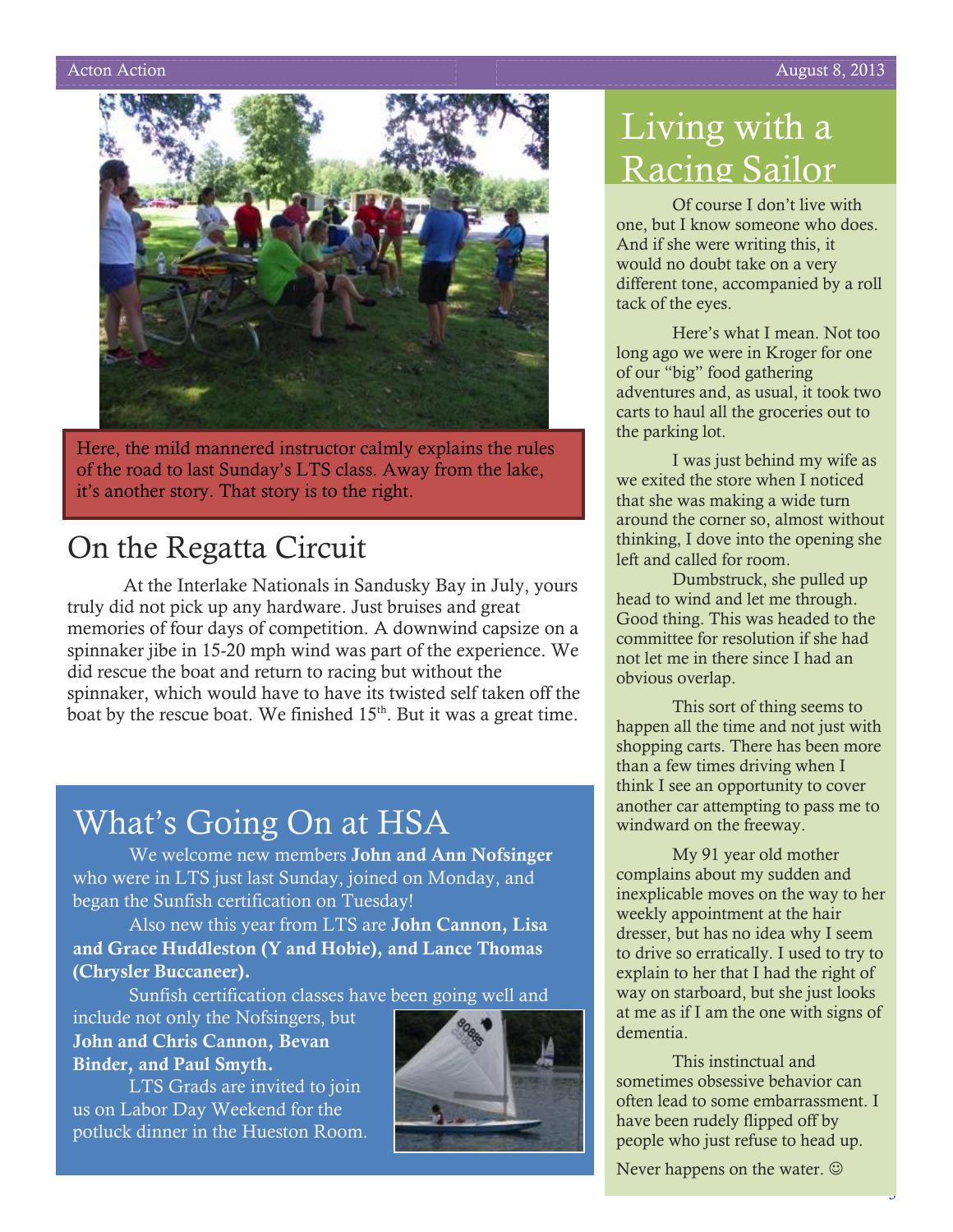

Here, the mild mannered instructor calmly explains the rules of the road to last Sunday's LTS class. Away from the lake, it's another story. That story is to the right.

# On the Regatta Circuit

At the Interlake Nationals in Sandusky Bay in July, yours truly did not pick up any hardware. Just bruises and great memories of four days of competition. A downwind capsize on a spinnaker jibe in 15-20 mph wind was part of the experience. We did rescue the boat and return to racing but without the spinnaker, which would have to have its twisted self taken off the boat by the rescue boat. We finished  $15<sup>th</sup>$ . But it was a great time.

# What's Going On at HSA

We welcome new members **John and Ann Nofsinger** who were in LTS just last Sunday, joined on Monday, and began the Sunfish certification on Tuesday!

Also new this year from LTS are **John Cannon, Lisa and Grace Huddleston (Y and Hobie), and Lance Thomas (Chrysler Buccaneer).** 

Sunfish certification classes have been going well and

include not only the Nofsingers, but **John and Chris Cannon, Bevan Binder, and Paul Smyth.**

LTS Grads are invited to join us on Labor Day Weekend for the potluck dinner in the Hueston Room.



# Living with a Racing Sailor

Of course I don't live with one, but I know someone who does. And if she were writing this, it would no doubt take on a very different tone, accompanied by a roll tack of the eyes.

Here's what I mean. Not too long ago we were in Kroger for one of our "big" food gathering adventures and, as usual, it took two carts to haul all the groceries out to the parking lot.

I was just behind my wife as we exited the store when I noticed that she was making a wide turn around the corner so, almost without thinking, I dove into the opening she left and called for room.

Dumbstruck, she pulled up head to wind and let me through. Good thing. This was headed to the committee for resolution if she had not let me in there since I had an obvious overlap.

This sort of thing seems to happen all the time and not just with shopping carts. There has been more than a few times driving when I think I see an opportunity to cover another car attempting to pass me to windward on the freeway.

My 91 year old mother complains about my sudden and inexplicable moves on the way to her weekly appointment at the hair dresser, but has no idea why I seem to drive so erratically. I used to try to explain to her that I had the right of way on starboard, but she just looks at me as if I am the one with signs of dementia.

This instinctual and sometimes obsessive behavior can often lead to some embarrassment. I have been rudely flipped off by people who just refuse to head up.

3

Never happens on the water.  $\odot$